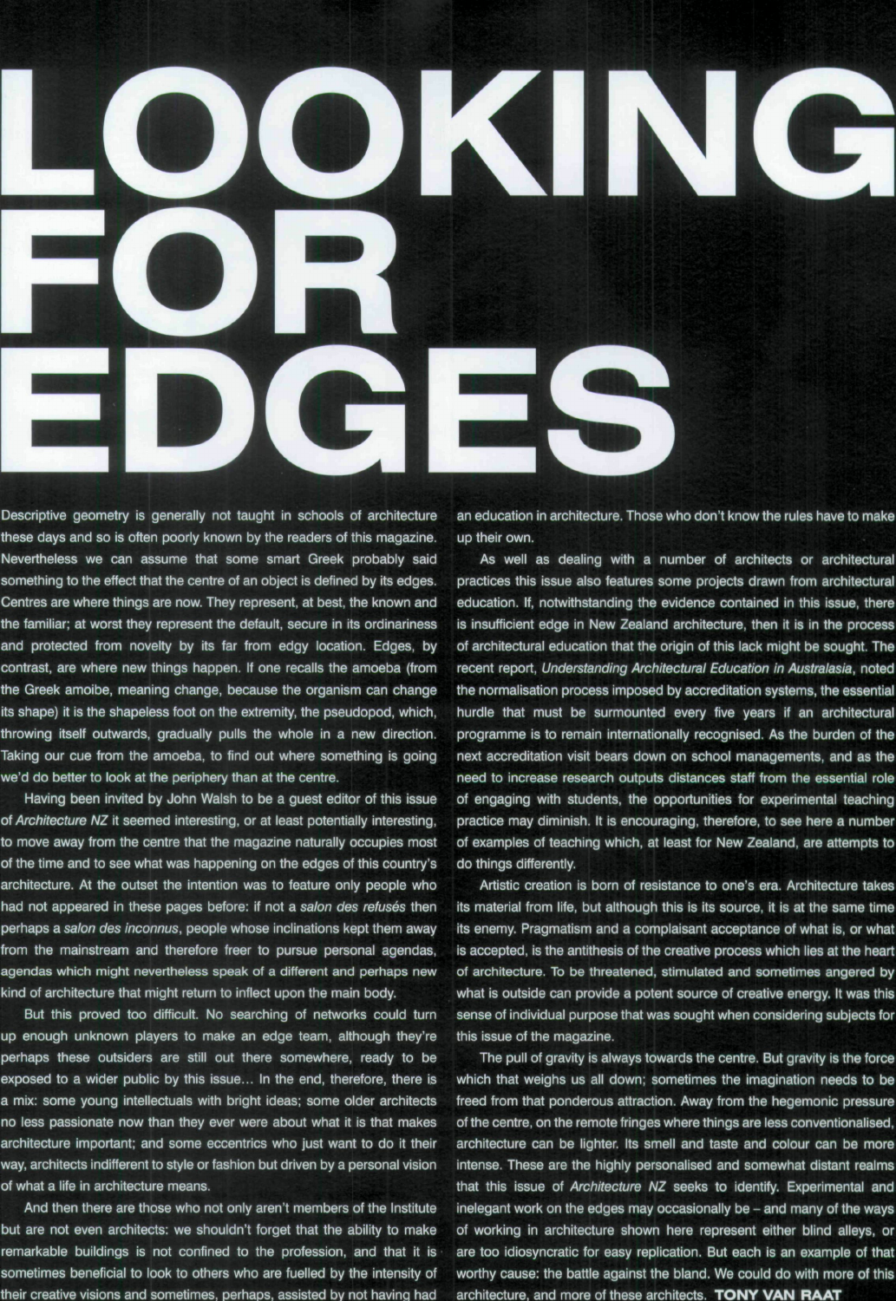Descriptive geometry is generally not taught in schools of architecture these days and so is often poorly known by the readers of this magazine. Nevertheless we can assume that some smart Greek probably said something to the effect that the centre of an object is defined by its edges. Centres are where things are now. They represent, at best, the known and the familiar: at worst they represent the default, secure in its ordinariness and protected from novelty by its far from edgy location. Edges, by contrast, are where new things happen, if one recalls the amoeba (from the Greek amoibe, meaning change, because the organism can change its shape) it is the shapeless foot on the extremity, the pseudopod, which, throwing itself outwards, gradually pulls the whole in a new direction. Taking our cue from the amoeba, to find out where something is going we'd do better to look at the periphery than at the centre.

Having been invited by John Walsh to be a guest editor of this issue of Architecture NZ it seemed interesting, or at least potentially interesting, to move away from the centre that the magazine naturally occupies most of the time and to see what was happening on the edges of this country's architecture. At the outset the intention was to feature only people who had not appeared in these pages before: if not a salon des refusés then perhaps a salon des inconnus, people whose inclinations kept them away from the mainstream and therefore freer to pursue personal agendas, agendas which might nevertheless speak of a different and perhaps new kind of architecture that might return to inflect upon the main body.

But this proved too difficult. No searching of networks could turn up enough unknown players to make an edge team, although they're perhaps these outsiders are still out there somewhere, ready to be exposed to a wider public by this issue... In the end, therefore, there is a mix: some young intellectuals with bright ideas: some older architects no less passionate now than they ever were about what it is that makes architecture important: and some eccentrics who just want to do it their way, architects indifferent to style or fashion but driven by a personal vision of what a life in architecture means.

And then there are those who not only aren't members of the Institute but are not even architects: we shouldn't forget that the ability to make remarkable buildings is not confined to the profession, and that it is sometimes beneficial to look to others who are fuelled by the intensity of their creative visions and sometimes, perhaps, assisted by not having had

an education in architecture. Those who don't know the rules have to make up their own.

As well as dealing with a number of architects or architectural practices this issue also features some projects drawn from architectural education. If, notwithstanding the evidence contained in this issue, there is insufficient edge in New Zealand architecture, then it is in the process of architectural education that the origin of this lack might be sought. The recent report, Understanding Architectural Education in Australasia, noted the normalisation process imposed by accreditation systems, the essential hurdle that must be surmounted every five years if an architectural programme is to remain internationally recognised. As the burden of the next accreditation visit bears down on school managements, and as the need to increase research outputs distances staff from the essential role of engaging with students, the opportunities for experimental teaching practice may diminish. It is encouraging, therefore, to see here a number of examples of teaching which, at least for New Zealand, are attempts to do things differently.

Artistic creation is born of resistance to one's era. Architecture takes its material from life, but although this is its source, it is at the same time its enemy. Pragmatism and a complaisant acceptance of what is, or what is accepted, is the antithesis of the creative process which lies at the heart of architecture. To be threatened, stimulated and sometimes angered by what is outside can provide a potent source of creative energy, it was this sense of individual purpose that was sought when considering subjects for this issue of the magazine.

The pull of gravity is always towards the centre. But gravity is the force which that weighs us all down; sometimes the imagination needs to be freed from that ponderous attraction. Away from the hegemonic pressure of the centre, on the remote fringes where things are less conventionalised, architecture can be lighter. Its smell and taste and colour can be more intense. These are the highly personalised and somewhat distant realms that this issue of Architecture NZ seeks to identify. Experimental and inelegant work on the edges may occasionally be - and many of the ways of working in architecture shown here represent either blind alleys, or are too idiosyncratic for easy replication. But each is an example of that worthy cause: the battle against the bland. We could do with more of this architecture, and more of these architects. **TONY VAN RAAT**